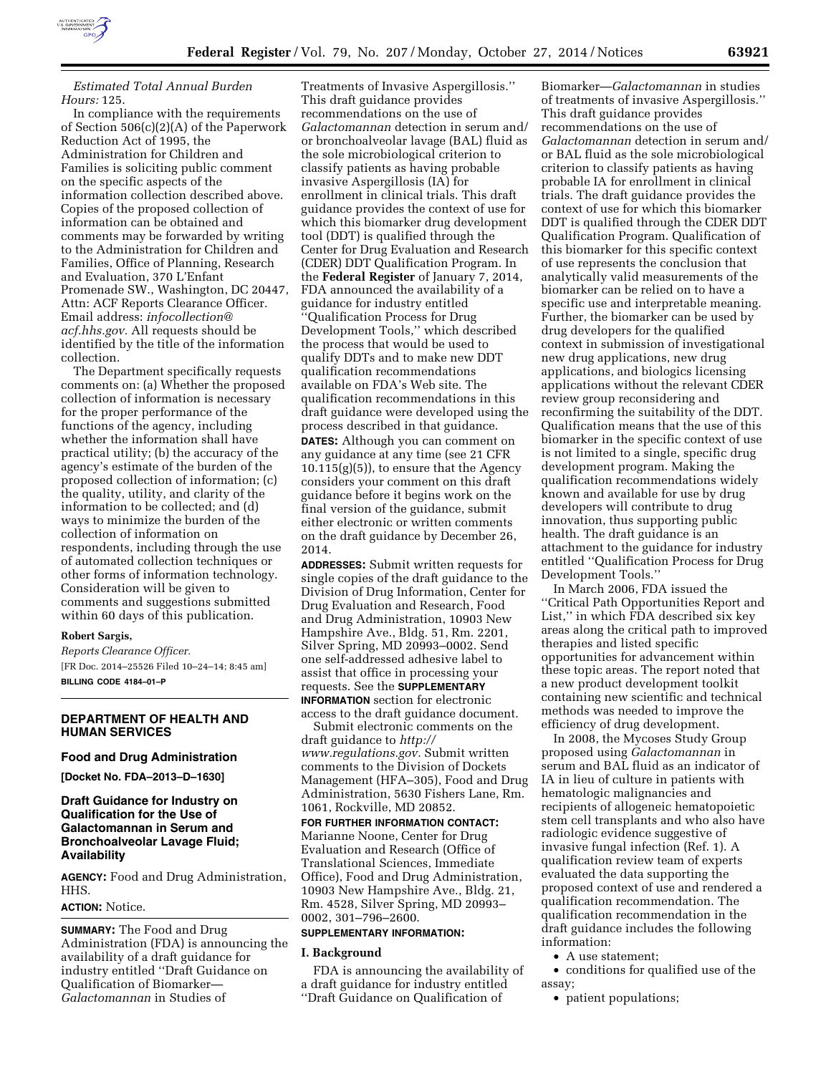

*Estimated Total Annual Burden Hours:* 125.

In compliance with the requirements of Section 506(c)(2)(A) of the Paperwork Reduction Act of 1995, the Administration for Children and Families is soliciting public comment on the specific aspects of the information collection described above. Copies of the proposed collection of information can be obtained and comments may be forwarded by writing to the Administration for Children and Families, Office of Planning, Research and Evaluation, 370 L'Enfant Promenade SW., Washington, DC 20447, Attn: ACF Reports Clearance Officer. Email address: *[infocollection@](mailto:infocollection@acf.hhs.gov) [acf.hhs.gov.](mailto:infocollection@acf.hhs.gov)* All requests should be identified by the title of the information collection.

The Department specifically requests comments on: (a) Whether the proposed collection of information is necessary for the proper performance of the functions of the agency, including whether the information shall have practical utility; (b) the accuracy of the agency's estimate of the burden of the proposed collection of information; (c) the quality, utility, and clarity of the information to be collected; and (d) ways to minimize the burden of the collection of information on respondents, including through the use of automated collection techniques or other forms of information technology. Consideration will be given to comments and suggestions submitted within 60 days of this publication.

#### **Robert Sargis,**

*Reports Clearance Officer.*  [FR Doc. 2014–25526 Filed 10–24–14; 8:45 am] **BILLING CODE 4184–01–P** 

### **DEPARTMENT OF HEALTH AND HUMAN SERVICES**

#### **Food and Drug Administration**

**[Docket No. FDA–2013–D–1630]** 

# **Draft Guidance for Industry on Qualification for the Use of Galactomannan in Serum and Bronchoalveolar Lavage Fluid; Availability**

**AGENCY:** Food and Drug Administration, HHS.

### **ACTION:** Notice.

**SUMMARY:** The Food and Drug Administration (FDA) is announcing the availability of a draft guidance for industry entitled ''Draft Guidance on Qualification of Biomarker— *Galactomannan* in Studies of

Treatments of Invasive Aspergillosis.'' This draft guidance provides recommendations on the use of *Galactomannan* detection in serum and/ or bronchoalveolar lavage (BAL) fluid as the sole microbiological criterion to classify patients as having probable invasive Aspergillosis (IA) for enrollment in clinical trials. This draft guidance provides the context of use for which this biomarker drug development tool (DDT) is qualified through the Center for Drug Evaluation and Research (CDER) DDT Qualification Program. In the **Federal Register** of January 7, 2014, FDA announced the availability of a guidance for industry entitled ''Qualification Process for Drug Development Tools,'' which described the process that would be used to qualify DDTs and to make new DDT qualification recommendations available on FDA's Web site. The qualification recommendations in this draft guidance were developed using the process described in that guidance. **DATES:** Although you can comment on any guidance at any time (see 21 CFR  $10.115(g)(5)$ , to ensure that the Agency considers your comment on this draft guidance before it begins work on the final version of the guidance, submit either electronic or written comments on the draft guidance by December 26, 2014.

**ADDRESSES:** Submit written requests for single copies of the draft guidance to the Division of Drug Information, Center for Drug Evaluation and Research, Food and Drug Administration, 10903 New Hampshire Ave., Bldg. 51, Rm. 2201, Silver Spring, MD 20993–0002. Send one self-addressed adhesive label to assist that office in processing your requests. See the **SUPPLEMENTARY INFORMATION** section for electronic access to the draft guidance document.

Submit electronic comments on the draft guidance to *[http://](http://www.regulations.gov) [www.regulations.gov.](http://www.regulations.gov)* Submit written comments to the Division of Dockets Management (HFA–305), Food and Drug Administration, 5630 Fishers Lane, Rm. 1061, Rockville, MD 20852.

**FOR FURTHER INFORMATION CONTACT:**  Marianne Noone, Center for Drug Evaluation and Research (Office of Translational Sciences, Immediate Office), Food and Drug Administration, 10903 New Hampshire Ave., Bldg. 21, Rm. 4528, Silver Spring, MD 20993– 0002, 301–796–2600.

### **SUPPLEMENTARY INFORMATION:**

#### **I. Background**

FDA is announcing the availability of a draft guidance for industry entitled ''Draft Guidance on Qualification of

Biomarker—*Galactomannan* in studies of treatments of invasive Aspergillosis.'' This draft guidance provides recommendations on the use of *Galactomannan* detection in serum and/ or BAL fluid as the sole microbiological criterion to classify patients as having probable IA for enrollment in clinical trials. The draft guidance provides the context of use for which this biomarker DDT is qualified through the CDER DDT Qualification Program. Qualification of this biomarker for this specific context of use represents the conclusion that analytically valid measurements of the biomarker can be relied on to have a specific use and interpretable meaning. Further, the biomarker can be used by drug developers for the qualified context in submission of investigational new drug applications, new drug applications, and biologics licensing applications without the relevant CDER review group reconsidering and reconfirming the suitability of the DDT. Qualification means that the use of this biomarker in the specific context of use is not limited to a single, specific drug development program. Making the qualification recommendations widely known and available for use by drug developers will contribute to drug innovation, thus supporting public health. The draft guidance is an attachment to the guidance for industry entitled ''Qualification Process for Drug Development Tools.''

In March 2006, FDA issued the ''Critical Path Opportunities Report and List,'' in which FDA described six key areas along the critical path to improved therapies and listed specific opportunities for advancement within these topic areas. The report noted that a new product development toolkit containing new scientific and technical methods was needed to improve the efficiency of drug development.

In 2008, the Mycoses Study Group proposed using *Galactomannan* in serum and BAL fluid as an indicator of IA in lieu of culture in patients with hematologic malignancies and recipients of allogeneic hematopoietic stem cell transplants and who also have radiologic evidence suggestive of invasive fungal infection (Ref. 1). A qualification review team of experts evaluated the data supporting the proposed context of use and rendered a qualification recommendation. The qualification recommendation in the draft guidance includes the following information:

• A use statement;

• conditions for qualified use of the assay;

• patient populations;